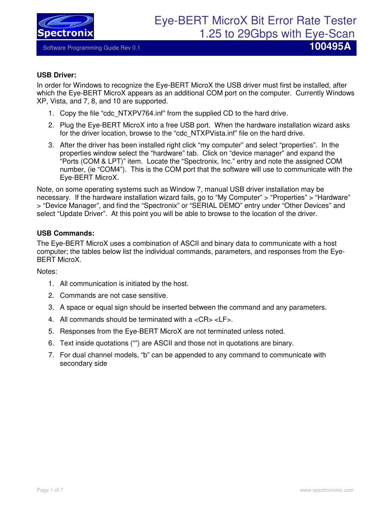

#### **USB Driver:**

In order for Windows to recognize the Eye-BERT MicroX the USB driver must first be installed, after which the Eye-BERT MicroX appears as an additional COM port on the computer. Currently Windows XP, Vista, and 7, 8, and 10 are supported.

- 1. Copy the file "cdc\_NTXPV764.inf" from the supplied CD to the hard drive.
- 2. Plug the Eye-BERT MicroX into a free USB port. When the hardware installation wizard asks for the driver location, browse to the "cdc\_NTXPVista.inf" file on the hard drive.
- 3. After the driver has been installed right click "my computer" and select "properties". In the properties window select the "hardware" tab. Click on "device manager" and expand the "Ports (COM & LPT)" item. Locate the "Spectronix, Inc." entry and note the assigned COM number, (ie "COM4"). This is the COM port that the software will use to communicate with the Eye-BERT MicroX.

Note, on some operating systems such as Window 7, manual USB driver installation may be necessary. If the hardware installation wizard fails, go to "My Computer" > "Properties" > "Hardware" > "Device Manager", and find the "Spectronix" or "SERIAL DEMO" entry under "Other Devices" and select "Update Driver". At this point you will be able to browse to the location of the driver.

#### **USB Commands:**

The Eye-BERT MicroX uses a combination of ASCII and binary data to communicate with a host computer; the tables below list the individual commands, parameters, and responses from the Eye-BERT MicroX.

Notes:

- 1. All communication is initiated by the host.
- 2. Commands are not case sensitive.
- 3. A space or equal sign should be inserted between the command and any parameters.
- 4. All commands should be terminated with a <CR> <LF>.
- 5. Responses from the Eye-BERT MicroX are not terminated unless noted.
- 6. Text inside quotations ("") are ASCII and those not in quotations are binary.
- 7. For dual channel models, "b" can be appended to any command to communicate with secondary side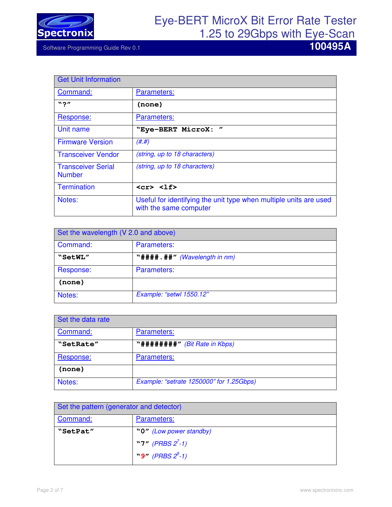

| <b>Get Unit Information</b>                |                                                                                             |
|--------------------------------------------|---------------------------------------------------------------------------------------------|
| Command:                                   | Parameters:                                                                                 |
| $"$ ?"                                     | (none)                                                                                      |
| Response:                                  | Parameters:                                                                                 |
| Unit name                                  | $^{\prime\prime}$<br>"Eye-BERT MicroX:                                                      |
| <b>Firmware Version</b>                    | (H. H)                                                                                      |
| <b>Transceiver Vendor</b>                  | (string, up to 18 characters)                                                               |
| <b>Transceiver Serial</b><br><b>Number</b> | (string, up to 18 characters)                                                               |
| <b>Termination</b>                         | $<$ cr> $<$ lf>                                                                             |
| Notes:                                     | Useful for identifying the unit type when multiple units are used<br>with the same computer |

| Set the wavelength (V 2.0 and above) |                                |
|--------------------------------------|--------------------------------|
| Command:                             | Parameters:                    |
| "SetWL"                              | "#### . ##" (Wavelength in nm) |
| Response:                            | Parameters:                    |
| (none)                               |                                |
| Notes:                               | Example: "setwl 1550.12"       |

| Set the data rate |                                          |
|-------------------|------------------------------------------|
| Command:          | Parameters:                              |
| "SetRate"         | "########" (Bit Rate in Kbps)            |
| Response:         | Parameters:                              |
| (none)            |                                          |
| Notes:            | Example: "setrate 1250000" for 1.25Gbps) |

| Set the pattern (generator and detector) |                         |
|------------------------------------------|-------------------------|
| Command:                                 | Parameters:             |
| "SetPat"                                 | "0" (Low power standby) |
|                                          | "7" (PRBS $2^{7}$ -1)   |
|                                          | "9" (PRBS $2^9$ -1)     |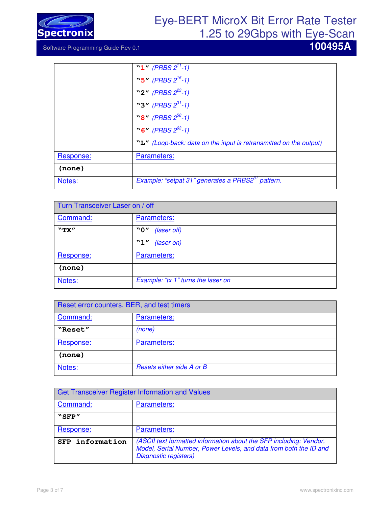

# Eye-BERT MicroX Bit Error Rate Tester

1.25 to 29Gbps with Eye-Scan

|           | "1" (PRBS $2^{11}$ -1)                                            |
|-----------|-------------------------------------------------------------------|
|           | "5" (PRBS $2^{15}$ -1)                                            |
|           | "2" (PRBS $2^{23}$ -1)                                            |
|           | "3" (PRBS $2^{31}$ -1)                                            |
|           | $\mathbf{N8''}$ (PRBS $2^{58}$ -1)                                |
|           | $\degree$ 6" (PRBS $2^{63}$ -1)                                   |
|           | "L" (Loop-back: data on the input is retransmitted on the output) |
| Response: | Parameters:                                                       |
| (none)    |                                                                   |
| Notes:    | Example: "setpat 31" generates a PRBS2 <sup>31</sup> pattern.     |

| Turn Transceiver Laser on / off |                                         |
|---------------------------------|-----------------------------------------|
| Command:                        | Parameters:                             |
| "TX"                            | "0"<br>(laser off)<br>"1"<br>(laser on) |
| Response:                       | Parameters:                             |
| (none)                          |                                         |
| Notes:                          | Example: "tx 1" turns the laser on      |

| Reset error counters, BER, and test timers |                           |
|--------------------------------------------|---------------------------|
| Command:                                   | Parameters:               |
| "Reset"                                    | (none)                    |
| Response:                                  | Parameters:               |
| (none)                                     |                           |
| Notes:                                     | Resets either side A or B |

| <b>Get Transceiver Register Information and Values</b> |                                                                                                                                                                  |
|--------------------------------------------------------|------------------------------------------------------------------------------------------------------------------------------------------------------------------|
| Command:                                               | Parameters:                                                                                                                                                      |
| "SFP"                                                  |                                                                                                                                                                  |
| Response:                                              | Parameters:                                                                                                                                                      |
| SFP information                                        | (ASCII text formatted information about the SFP including: Vendor,<br>Model, Serial Number, Power Levels, and data from both the ID and<br>Diagnostic registers) |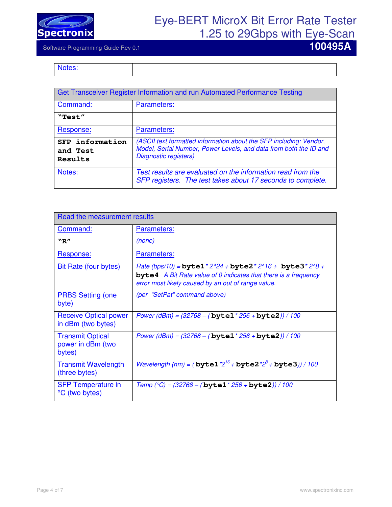

Software Programming Guide Rev 0.1 **100495A** 

Notes:

| Get Transceiver Register Information and run Automated Performance Testing |                                                                                                                                                                  |
|----------------------------------------------------------------------------|------------------------------------------------------------------------------------------------------------------------------------------------------------------|
| Command:                                                                   | Parameters:                                                                                                                                                      |
| "Test"                                                                     |                                                                                                                                                                  |
| Response:                                                                  | Parameters:                                                                                                                                                      |
| SFP information<br>and Test<br>Results                                     | (ASCII text formatted information about the SFP including: Vendor,<br>Model, Serial Number, Power Levels, and data from both the ID and<br>Diagnostic registers) |
| Notes:                                                                     | Test results are evaluated on the information read from the<br>SFP registers. The test takes about 17 seconds to complete.                                       |

| Read the measurement results                           |                                                                                                                                                                                                            |
|--------------------------------------------------------|------------------------------------------------------------------------------------------------------------------------------------------------------------------------------------------------------------|
| Command:                                               | Parameters:                                                                                                                                                                                                |
| "R"                                                    | (none)                                                                                                                                                                                                     |
| Response:                                              | <b>Parameters:</b>                                                                                                                                                                                         |
| Bit Rate (four bytes)                                  | Rate (bps/10) = byte1 * $2^{n}24 +$ byte2 * $2^{n}16 +$ byte3 * $2^{n}8 +$<br><b>byte4</b> A Bit Rate value of 0 indicates that there is a frequency<br>error most likely caused by an out of range value. |
| <b>PRBS Setting (one</b><br>byte)                      | (per "SetPat" command above)                                                                                                                                                                               |
| <b>Receive Optical power</b><br>in dBm (two bytes)     | Power (dBm) = $(32768 - (byte1 * 256 + byte2)) / 100$                                                                                                                                                      |
| <b>Transmit Optical</b><br>power in dBm (two<br>bytes) | Power (dBm) = $(32768 - (byte1 * 256 + byte2)) / 100$                                                                                                                                                      |
| <b>Transmit Wavelength</b><br>(three bytes)            | <i>Wavelength (nm) = (bytel</i> $*2^{16}$ + byte2 $*2^{8}$ + byte3)) / 100                                                                                                                                 |
| <b>SFP Temperature in</b><br>°C (two bytes)            | Temp (°C) = $(32768 - (byte1 * 256 + byte2)) / 100$                                                                                                                                                        |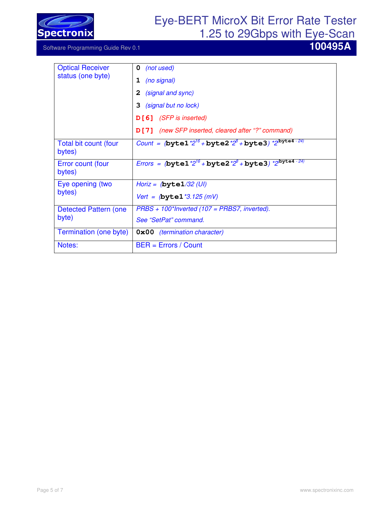

| <b>Optical Receiver</b><br>status (one byte) | 0<br>(not used)                                                                                 |
|----------------------------------------------|-------------------------------------------------------------------------------------------------|
|                                              | (no signal)<br>1                                                                                |
|                                              | 2<br>(signal and sync)                                                                          |
|                                              | 3<br>(signal but no lock)                                                                       |
|                                              | D[6] (SFP is inserted)                                                                          |
|                                              | D[7] (new SFP inserted, cleared after "?" command)                                              |
| Total bit count (four<br>bytes)              | Count = $(\text{byte1} * 2^{16} + \text{byte2} * 2^8 + \text{byte3}) * 2^{(\text{byte4} - 24)}$ |
| Error count (four<br>bytes)                  | Errors = $(\text{byte1} * 2^{16} + \text{byte2} * 2^8 + \text{byte3}) * 2^{\text{byte4} - 24})$ |
| Eye opening (two                             | Horiz = $(\text{byte1}/32 (UI))$                                                                |
| bytes)                                       | <i>Vert = (byte1 *3.125 (mV)</i>                                                                |
| Detected Pattern (one                        | $PRBS + 100*$ Inverted (107 = PRBS7, inverted).                                                 |
| byte)                                        | See "SetPat" command.                                                                           |
| Termination (one byte)                       | <b>OxOO</b> (termination character)                                                             |
| Notes:                                       | $BER = Errors / Count$                                                                          |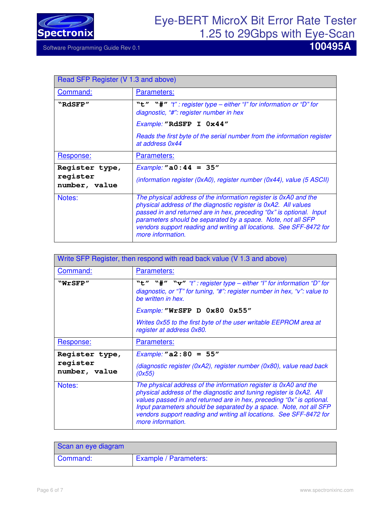

| Read SFP Register (V 1.3 and above)         |                                                                                                                                                                                                                                                                                                                                                                         |
|---------------------------------------------|-------------------------------------------------------------------------------------------------------------------------------------------------------------------------------------------------------------------------------------------------------------------------------------------------------------------------------------------------------------------------|
| Command:                                    | <b>Parameters:</b>                                                                                                                                                                                                                                                                                                                                                      |
| "RdSFP"                                     | "t" "#" "t": register type – either "I" for information or "D" for<br>diagnostic, "#": register number in hex                                                                                                                                                                                                                                                           |
|                                             | Example: "RdSFP I 0x44"                                                                                                                                                                                                                                                                                                                                                 |
|                                             | Reads the first byte of the serial number from the information register<br>at address 0x44                                                                                                                                                                                                                                                                              |
| Response:                                   | Parameters:                                                                                                                                                                                                                                                                                                                                                             |
| Register type,<br>register<br>number, value | <i>Example:</i> "a0:44 = $35"$<br>(information register (0xA0), register number (0x44), value (5 ASCII)                                                                                                                                                                                                                                                                 |
| Notes:                                      | The physical address of the information register is 0xA0 and the<br>physical address of the diagnostic register is 0xA2. All values<br>passed in and returned are in hex, preceding "0x" is optional. Input<br>parameters should be separated by a space. Note, not all SFP<br>vendors support reading and writing all locations. See SFF-8472 for<br>more information. |

| Write SFP Register, then respond with read back value (V 1.3 and above) |                                                                                                                                                                                                                                                                                                                                                                                    |
|-------------------------------------------------------------------------|------------------------------------------------------------------------------------------------------------------------------------------------------------------------------------------------------------------------------------------------------------------------------------------------------------------------------------------------------------------------------------|
| <b>Command:</b>                                                         | Parameters:                                                                                                                                                                                                                                                                                                                                                                        |
| "WrSFP"                                                                 | "t" "#" "v" "t": register type - either "I" for information "D" for<br>diagnostic, or "T" for tuning, "#": register number in hex, "v": value to<br>be written in hex.                                                                                                                                                                                                             |
|                                                                         | Example: "WrSFP D 0x80 0x55"                                                                                                                                                                                                                                                                                                                                                       |
|                                                                         | Writes 0x55 to the first byte of the user writable EEPROM area at<br>register at address 0x80.                                                                                                                                                                                                                                                                                     |
| Response:                                                               | Parameters:                                                                                                                                                                                                                                                                                                                                                                        |
| Register type,                                                          | <i>Example:</i> "a2:80 = 55"                                                                                                                                                                                                                                                                                                                                                       |
| register<br>number, value                                               | (diagnostic register (0xA2), register number (0x80), value read back<br>(0x55)                                                                                                                                                                                                                                                                                                     |
| Notes:                                                                  | The physical address of the information register is 0xA0 and the<br>physical address of the diagnostic and tuning register is 0xA2. All<br>values passed in and returned are in hex, preceding "0x" is optional.<br>Input parameters should be separated by a space. Note, not all SFP<br>vendors support reading and writing all locations. See SFF-8472 for<br>more information. |

| Scan an eye diagram |                              |
|---------------------|------------------------------|
| Command:            | <b>Example / Parameters:</b> |